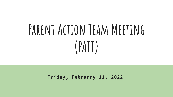# PARENT ACTION TEAM MEETING **(PATT)**

**Friday, February 11, 2022**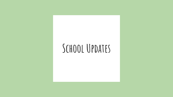### **School Updates**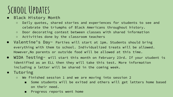### **School Updates**

- Black History Month
	- Daily quotes, shared stories and experiences for students to see and celebrate the triumphs of Black Americans throughout history.
	- Door decorating contest between classes with shared information
	- Activities done by the classroom teachers
- Valentine's Day- Parties will start at 1pm. Students should bring everything with them to school. Individualized treats will be allowed. However,No parents or outside food will be allowed at this time.
- WIDA Testing- will start this month on February 23rd. If your student is identified as an ELL then they will take this test. More information including a letter will be shared in the coming week.
- Tutoring
	- We finished session 1 and we are moving into session 2
		- Some students will be exited and others will get letters home based on their need.
		- Progress reports went home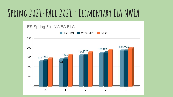### **Spring 2021-FAll 2021 : Elementary ELA NWEA**

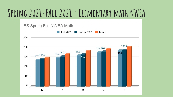### **Spring 2021-FAll 2021 : Elementary math NWEA**

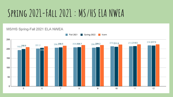### **Spring 2021-FAll 2021 : MS/HS ELA NWEA**

#### MS/HS Spring-Fall 2021 ELA NWEA

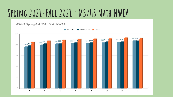### **Spring 2021-FAll 2021 : MS/HS Math NWEA**

MS/HS Spring-Fall 2021 Math NWEA

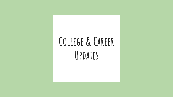# **College & Career Updates**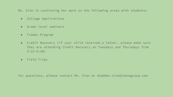Ms. Sion is continuing her work on the following areas with students:

- College Applications
- Grade level seminars
- Trades Program
- Credit Recovery (if your child received a letter, please make sure they are attending Credit Recovery on Tuesdays and Thursdays from 3:15-4:30)
- Field Trips

For questions, please contact Ms. Sion at shadden.sion@leonagroup.com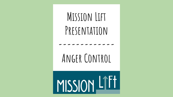## **Mission Lift Presentation**

### **Anger Control**

**-------------**

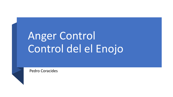### Anger Control Control del el Enojo

Pedro Coracides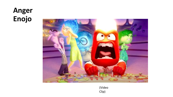#### **Anger Enojo**



(Video Clip)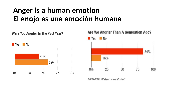#### **Anger is a human emotion El enojo es una emoción humana**



**NPR-IBM Watson Health Poll** 

100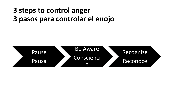#### **3 steps to control anger 3 pasos para controlar el enojo**

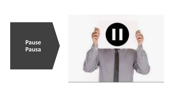#### **Pause Pausa**

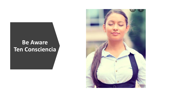#### **Be Aware Ten Consciencia**

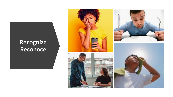#### **Recognize Reconoce**

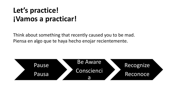### **Let's practice! ¡Vamos a practicar!**

Think about something that recently caused you to be mad. Piensa en algo que te haya hecho enojar recientemente.

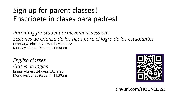### Sign up for parent classes! Enscribete in clases para padres!

*Parenting for student achievement sessions Sesiones de crianza de los hijos para el logro de los estudiantes* February/Febrero 7 - March/Marzo 28 Mondays/Lunes 9:30am - 11:30am

*English classes Clases de Ingles* January/Enero 24 - April/Abril 28 Mondays/Lunes 9:30am - 11:30am



tinyurl.com/HODACLASS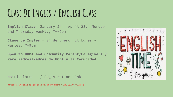### **Clase De Ingles / English Class**

**English Class** January 24 – April 28, Monday and Thursday weekly, 7--9pm

**CLase de Inglés** - 24 de Enero El Lunes y Martes, 7-9pm

**Open to HODA and Community Parent/Caregivers / Para Padres/Madres de HODA y la Comunidad**

Matricularse / Registration Link

[https://umich.qualtrics.com/jfe/form/SV\\_2m1IS1X4vKZVCiq](https://umich.qualtrics.com/jfe/form/SV_2m1IS1X4vKZVCiq)

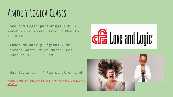### **Amor y Logica Clases**

**Love and Logic parenting:** Feb. 7- March 28 on Monday from 9:30am to 11:30am

**Clases de Amor y Lógica:** 7 de Febrero hasta 28 de Marzo, Los Lunes de 9:30-11:30am



Matricularse / Registration Link

[https://umich.qualtrics.com/jfe/form/SV\\_2m1IS1X4v](https://umich.qualtrics.com/jfe/form/SV_2m1IS1X4vKZVCiq) [KZVCiq](https://umich.qualtrics.com/jfe/form/SV_2m1IS1X4vKZVCiq)

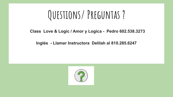### **Questions/ Preguntas ?**

**Class Love & Logic / Amor y Logica - Pedro 602.538.3273**

**Inglés - Llamar Instructora Delilah al 810.285.6247** 

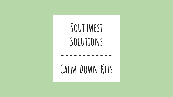# **Southwest Solutions ------------ Calm Down Kits**